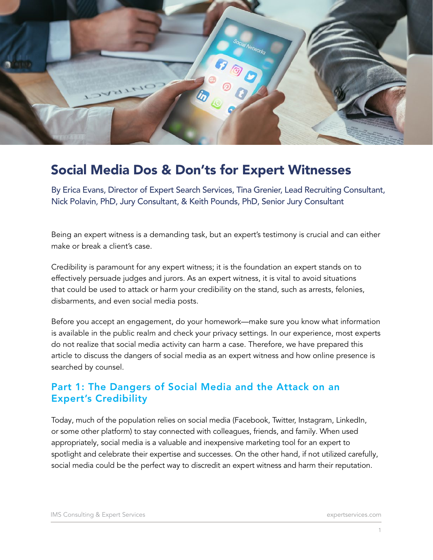

# Social Media Dos & Don'ts for Expert Witnesses

By Erica Evans, Director of Expert Search Services, Tina Grenier, Lead Recruiting Consultant, Nick Polavin, PhD, Jury Consultant, & Keith Pounds, PhD, Senior Jury Consultant

Being an expert witness is a demanding task, but an expert's testimony is crucial and can either make or break a client's case.

Credibility is paramount for any expert witness; it is the foundation an expert stands on to effectively persuade judges and jurors. As an expert witness, it is vital to avoid situations that could be used to attack or harm your credibility on the stand, such as arrests, felonies, disbarments, and even social media posts.

Before you accept an engagement, do your homework—make sure you know what information is available in the public realm and check your privacy settings. In our experience, most experts do not realize that social media activity can harm a case. Therefore, we have prepared this article to discuss the dangers of social media as an expert witness and how online presence is searched by counsel.

# Part 1: The Dangers of Social Media and the Attack on an Expert's Credibility

Today, much of the population relies on social media (Facebook, Twitter, Instagram, LinkedIn, or some other platform) to stay connected with colleagues, friends, and family. When used appropriately, social media is a valuable and inexpensive marketing tool for an expert to spotlight and celebrate their expertise and successes. On the other hand, if not utilized carefully, social media could be the perfect way to discredit an expert witness and harm their reputation.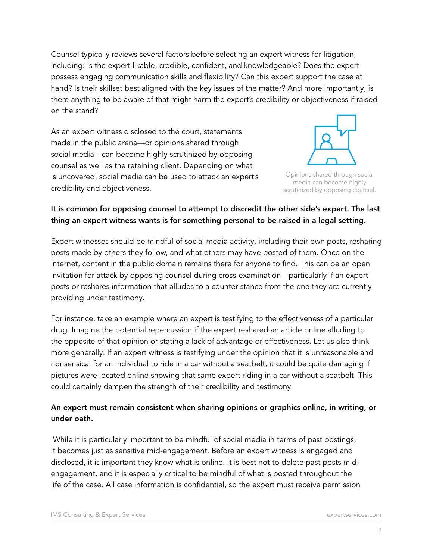Counsel typically reviews several factors before selecting an expert witness for litigation, including: Is the expert likable, credible, confident, and knowledgeable? Does the expert possess engaging communication skills and flexibility? Can this expert support the case at hand? Is their skillset best aligned with the key issues of the matter? And more importantly, is there anything to be aware of that might harm the expert's credibility or objectiveness if raised on the stand?

As an expert witness disclosed to the court, statements made in the public arena—or opinions shared through social media—can become highly scrutinized by opposing counsel as well as the retaining client. Depending on what is uncovered, social media can be used to attack an expert's credibility and objectiveness.



Opinions shared through social media can become highly scrutinized by opposing counsel.

### It is common for opposing counsel to attempt to discredit the other side's expert. The last thing an expert witness wants is for something personal to be raised in a legal setting.

Expert witnesses should be mindful of social media activity, including their own posts, resharing posts made by others they follow, and what others may have posted of them. Once on the internet, content in the public domain remains there for anyone to find. This can be an open invitation for attack by opposing counsel during cross-examination—particularly if an expert posts or reshares information that alludes to a counter stance from the one they are currently providing under testimony.

For instance, take an example where an expert is testifying to the effectiveness of a particular drug. Imagine the potential repercussion if the expert reshared an article online alluding to the opposite of that opinion or stating a lack of advantage or effectiveness. Let us also think more generally. If an expert witness is testifying under the opinion that it is unreasonable and nonsensical for an individual to ride in a car without a seatbelt, it could be quite damaging if pictures were located online showing that same expert riding in a car without a seatbelt. This could certainly dampen the strength of their credibility and testimony.

### An expert must remain consistent when sharing opinions or graphics online, in writing, or under oath.

 While it is particularly important to be mindful of social media in terms of past postings, it becomes just as sensitive mid-engagement. Before an expert witness is engaged and disclosed, it is important they know what is online. It is best not to delete past posts midengagement, and it is especially critical to be mindful of what is posted throughout the life of the case. All case information is confidential, so the expert must receive permission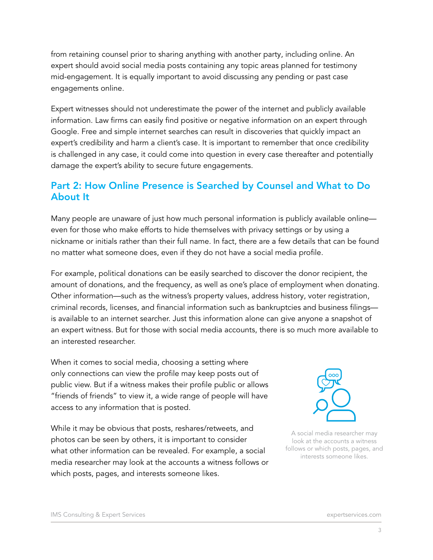from retaining counsel prior to sharing anything with another party, including online. An expert should avoid social media posts containing any topic areas planned for testimony mid-engagement. It is equally important to avoid discussing any pending or past case engagements online.

Expert witnesses should not underestimate the power of the internet and publicly available information. Law firms can easily find positive or negative information on an expert through Google. Free and simple internet searches can result in discoveries that quickly impact an expert's credibility and harm a client's case. It is important to remember that once credibility is challenged in any case, it could come into question in every case thereafter and potentially damage the expert's ability to secure future engagements.

## Part 2: How Online Presence is Searched by Counsel and What to Do About It

Many people are unaware of just how much personal information is publicly available online even for those who make efforts to hide themselves with privacy settings or by using a nickname or initials rather than their full name. In fact, there are a few details that can be found no matter what someone does, even if they do not have a social media profile.

For example, political donations can be easily searched to discover the donor recipient, the amount of donations, and the frequency, as well as one's place of employment when donating. Other information—such as the witness's property values, address history, voter registration, criminal records, licenses, and financial information such as bankruptcies and business filings is available to an internet searcher. Just this information alone can give anyone a snapshot of an expert witness. But for those with social media accounts, there is so much more available to an interested researcher.

When it comes to social media, choosing a setting where only connections can view the profile may keep posts out of public view. But if a witness makes their profile public or allows "friends of friends" to view it, a wide range of people will have access to any information that is posted.

While it may be obvious that posts, reshares/retweets, and photos can be seen by others, it is important to consider what other information can be revealed. For example, a social media researcher may look at the accounts a witness follows or which posts, pages, and interests someone likes.



A social media researcher may look at the accounts a witness follows or which posts, pages, and interests someone likes.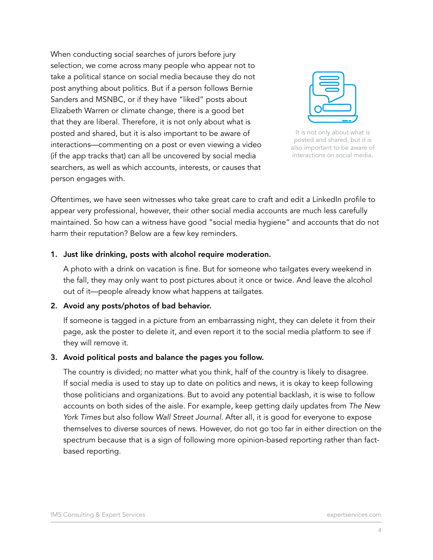When conducting social searches of jurors before jury selection, we come across many people who appear not to take a political stance on social media because they do not post anything about politics. But if a person follows Bernie Sanders and MSNBC, or if they have "liked" posts about Elizabeth Warren or climate change, there is a good bet that they are liberal. Therefore, it is not only about what is posted and shared, but it is also important to be aware of interactions—commenting on a post or even viewing a video (if the app tracks that) can all be uncovered by social media searchers, as well as which accounts, interests, or causes that person engages with.



It is not only about what is posted and shared, but it is also important to be aware of interactions on social media.

Oftentimes, we have seen witnesses who take great care to craft and edit a LinkedIn profile to appear very professional, however, their other social media accounts are much less carefully maintained. So how can a witness have good "social media hygiene" and accounts that do not harm their reputation? Below are a few key reminders.

#### 1. Just like drinking, posts with alcohol require moderation.

A photo with a drink on vacation is fine. But for someone who tailgates every weekend in the fall, they may only want to post pictures about it once or twice. And leave the alcohol out of it—people already know what happens at tailgates.

#### 2. Avoid any posts/photos of bad behavior.

If someone is tagged in a picture from an embarrassing night, they can delete it from their page, ask the poster to delete it, and even report it to the social media platform to see if they will remove it.

#### 3. Avoid political posts and balance the pages you follow.

The country is divided; no matter what you think, half of the country is likely to disagree. If social media is used to stay up to date on politics and news, it is okay to keep following those politicians and organizations. But to avoid any potential backlash, it is wise to follow accounts on both sides of the aisle. For example, keep getting daily updates from *The New York Times* but also follow *Wall Street Journal*. After all, it is good for everyone to expose themselves to diverse sources of news. However, do not go too far in either direction on the spectrum because that is a sign of following more opinion-based reporting rather than factbased reporting.